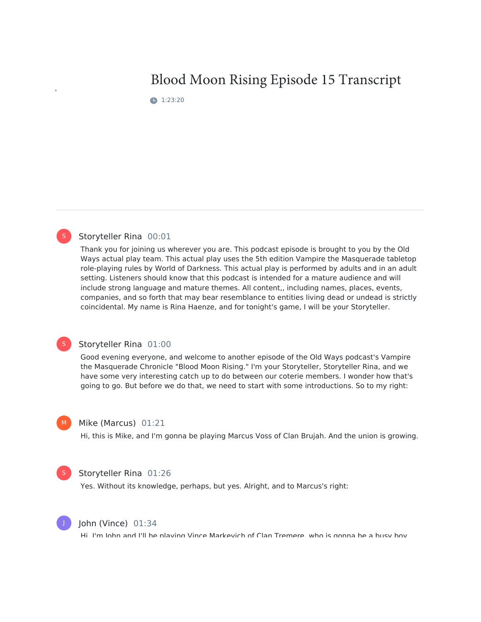# Blood Moon Rising Episode 15 Transcript

**1**:23:20



#### Storyteller Rina 00:01

Thank you for joining us wherever you are. This podcast episode is brought to you by the Old Ways actual play team. This actual play uses the 5th edition Vampire the Masquerade tabletop role-playing rules by World of Darkness. This actual play is performed by adults and in an adult setting. Listeners should know that this podcast is intended for a mature audience and will include strong language and mature themes. All content,, including names, places, events, companies, and so forth that may bear resemblance to entities living dead or undead is strictly coincidental. My name is Rina Haenze, and for tonight's game, I will be your Storyteller.

### S

#### Storyteller Rina 01:00

Good evening everyone, and welcome to another episode of the Old Ways podcast's Vampire the Masquerade Chronicle "Blood Moon Rising." I'm your Storyteller, Storyteller Rina, and we have some very interesting catch up to do between our coterie members. I wonder how that's going to go. But before we do that, we need to start with some introductions. So to my right:

#### Mike (Marcus) 01:21

Hi, this is Mike, and I'm gonna be playing Marcus Voss of Clan Brujah. And the union is growing.



 $M_{\odot}$ 

#### Storyteller Rina 01:26

Yes. Without its knowledge, perhaps, but yes. Alright, and to Marcus's right:



#### John (Vince) 01:34

Hi, I'm John and I'll he nlaying Vince Markevich of Clan Tremere, who is gonna he a husy hoy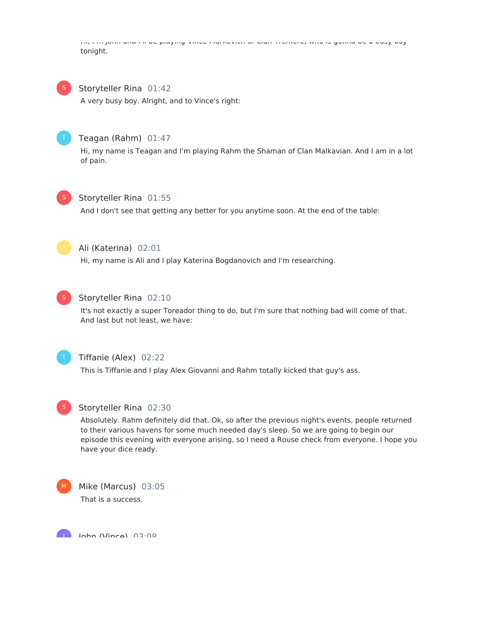Hi, I'm John and I'll be playing Vince Markevich of Clan Tremere, who is gonna be a busy boy tonight.



#### Storyteller Rina 01:42

A very busy boy. Alright, and to Vince's right:



#### Teagan (Rahm) 01:47

Hi, my name is Teagan and I'm playing Rahm the Shaman of Clan Malkavian. And I am in a lot of pain.



#### Storyteller Rina 01:55

And I don't see that getting any better for you anytime soon. At the end of the table:



### Ali (Katerina) 02:01

Hi, my name is Ali and I play Katerina Bogdanovich and I'm researching.



#### Storyteller Rina 02:10

It's not exactly a super Toreador thing to do, but I'm sure that nothing bad will come of that. And last but not least, we have:



### Tiffanie (Alex) 02:22

This is Tiffanie and I play Alex Giovanni and Rahm totally kicked that guy's ass.



#### Storyteller Rina 02:30

Absolutely. Rahm definitely did that. Ok, so after the previous night's events, people returned to their various havens for some much needed day's sleep. So we are going to begin our episode this evening with everyone arising, so I need a Rouse check from everyone. I hope you have your dice ready.



J



John (Vince) 03:08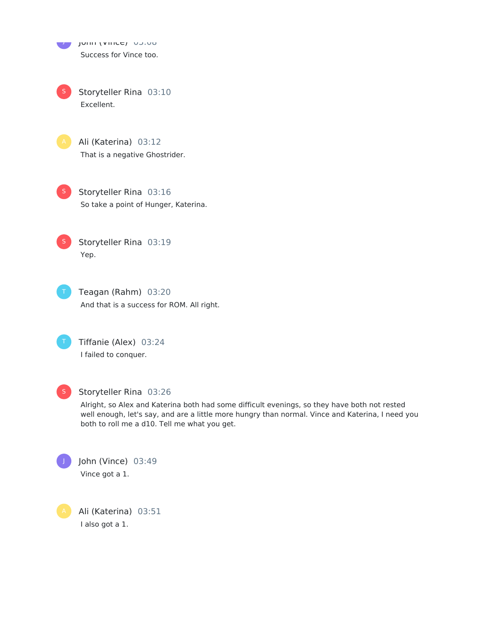John (Vince) 03:08 J Success for Vince too.

Storyteller Rina 03:10 Excellent. S



Ali (Katerina) 03:12 That is a negative Ghostrider.

Storyteller Rina 03:16 So take a point of Hunger, Katerina. S

Storyteller Rina 03:19 Yep. S

Teagan (Rahm) 03:20 And that is a success for ROM. All right.

Tiffanie (Alex) 03:24 I failed to conquer.



#### Storyteller Rina 03:26

Alright, so Alex and Katerina both had some difficult evenings, so they have both not rested well enough, let's say, and are a little more hungry than normal. Vince and Katerina, I need you both to roll me a d10. Tell me what you get.



John (Vince) 03:49 Vince got a 1.

Ali (Katerina) 03:51 I also got a 1.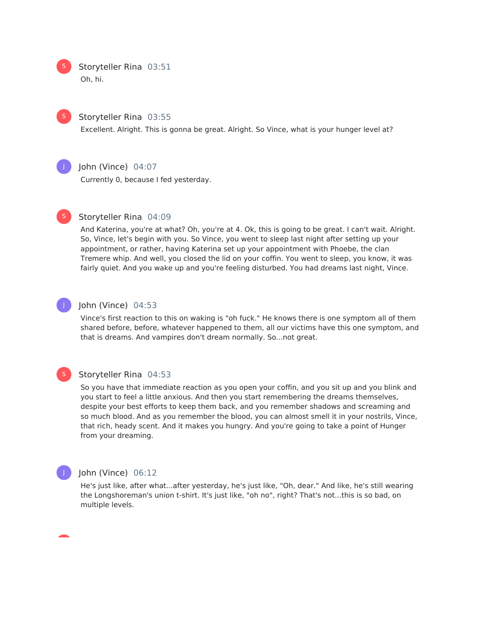Storyteller Rina 03:51 Oh, hi.



S

### Storyteller Rina 03:55

Excellent. Alright. This is gonna be great. Alright. So Vince, what is your hunger level at?



### John (Vince) 04:07

Currently 0, because I fed yesterday.



#### Storyteller Rina 04:09

And Katerina, you're at what? Oh, you're at 4. Ok, this is going to be great. I can't wait. Alright. So, Vince, let's begin with you. So Vince, you went to sleep last night after setting up your appointment, or rather, having Katerina set up your appointment with Phoebe, the clan Tremere whip. And well, you closed the lid on your coffin. You went to sleep, you know, it was fairly quiet. And you wake up and you're feeling disturbed. You had dreams last night, Vince.



#### John (Vince) 04:53

Vince's first reaction to this on waking is "oh fuck." He knows there is one symptom all of them shared before, before, whatever happened to them, all our victims have this one symptom, and that is dreams. And vampires don't dream normally. So...not great.



#### Storyteller Rina 04:53

So you have that immediate reaction as you open your coffin, and you sit up and you blink and you start to feel a little anxious. And then you start remembering the dreams themselves, despite your best efforts to keep them back, and you remember shadows and screaming and so much blood. And as you remember the blood, you can almost smell it in your nostrils, Vince, that rich, heady scent. And it makes you hungry. And you're going to take a point of Hunger from your dreaming.



#### John (Vince) 06:12

He's just like, after what...after yesterday, he's just like, "Oh, dear." And like, he's still wearing the Longshoreman's union t-shirt. It's just like, "oh no", right? That's not...this is so bad, on multiple levels.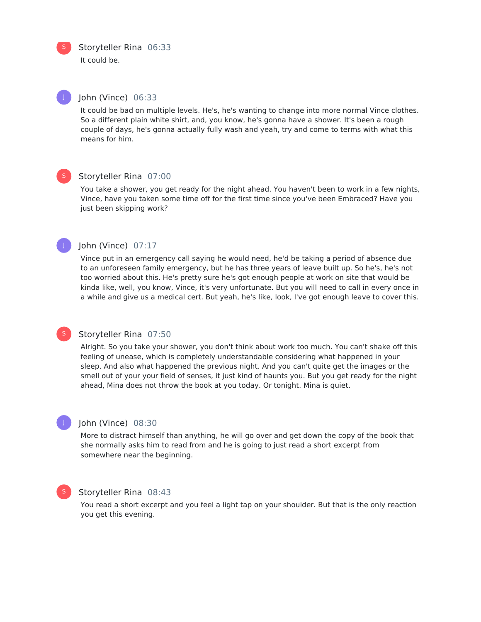S

Storyteller Rina 06:33

It could be.

J

#### John (Vince) 06:33

It could be bad on multiple levels. He's, he's wanting to change into more normal Vince clothes. So a different plain white shirt, and, you know, he's gonna have a shower. It's been a rough couple of days, he's gonna actually fully wash and yeah, try and come to terms with what this means for him.

### S

### Storyteller Rina 07:00

You take a shower, you get ready for the night ahead. You haven't been to work in a few nights, Vince, have you taken some time off for the first time since you've been Embraced? Have you just been skipping work?



S

### John (Vince) 07:17

Vince put in an emergency call saying he would need, he'd be taking a period of absence due to an unforeseen family emergency, but he has three years of leave built up. So he's, he's not too worried about this. He's pretty sure he's got enough people at work on site that would be kinda like, well, you know, Vince, it's very unfortunate. But you will need to call in every once in a while and give us a medical cert. But yeah, he's like, look, I've got enough leave to cover this.

### Storyteller Rina 07:50

Alright. So you take your shower, you don't think about work too much. You can't shake off this feeling of unease, which is completely understandable considering what happened in your sleep. And also what happened the previous night. And you can't quite get the images or the smell out of your your field of senses, it just kind of haunts you. But you get ready for the night ahead, Mina does not throw the book at you today. Or tonight. Mina is quiet.

#### John (Vince) 08:30

More to distract himself than anything, he will go over and get down the copy of the book that she normally asks him to read from and he is going to just read a short excerpt from somewhere near the beginning.

## S

J

### Storyteller Rina 08:43

You read a short excerpt and you feel a light tap on your shoulder. But that is the only reaction you get this evening.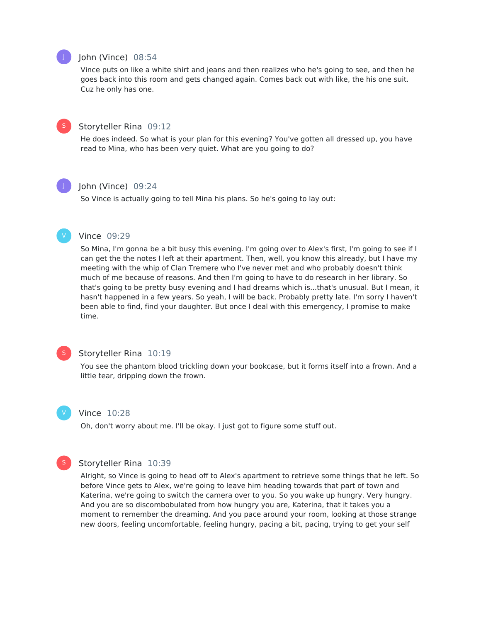### John (Vince) 08:54

Vince puts on like a white shirt and jeans and then realizes who he's going to see, and then he goes back into this room and gets changed again. Comes back out with like, the his one suit. Cuz he only has one.



J

#### Storyteller Rina 09:12

He does indeed. So what is your plan for this evening? You've gotten all dressed up, you have read to Mina, who has been very quiet. What are you going to do?

## J

#### John (Vince) 09:24

So Vince is actually going to tell Mina his plans. So he's going to lay out:

#### Vince 09:29

So Mina, I'm gonna be a bit busy this evening. I'm going over to Alex's first, I'm going to see if I can get the the notes I left at their apartment. Then, well, you know this already, but I have my meeting with the whip of Clan Tremere who I've never met and who probably doesn't think much of me because of reasons. And then I'm going to have to do research in her library. So that's going to be pretty busy evening and I had dreams which is...that's unusual. But I mean, it hasn't happened in a few years. So yeah, I will be back. Probably pretty late. I'm sorry I haven't been able to find, find your daughter. But once I deal with this emergency, I promise to make time.

### S

#### Storyteller Rina 10:19

You see the phantom blood trickling down your bookcase, but it forms itself into a frown. And a little tear, dripping down the frown.



#### Vince 10:28

Oh, don't worry about me. I'll be okay. I just got to figure some stuff out.

#### S

### Storyteller Rina 10:39

Alright, so Vince is going to head off to Alex's apartment to retrieve some things that he left. So before Vince gets to Alex, we're going to leave him heading towards that part of town and Katerina, we're going to switch the camera over to you. So you wake up hungry. Very hungry. And you are so discombobulated from how hungry you are, Katerina, that it takes you a moment to remember the dreaming. And you pace around your room, looking at those strange new doors, feeling uncomfortable, feeling hungry, pacing a bit, pacing, trying to get your self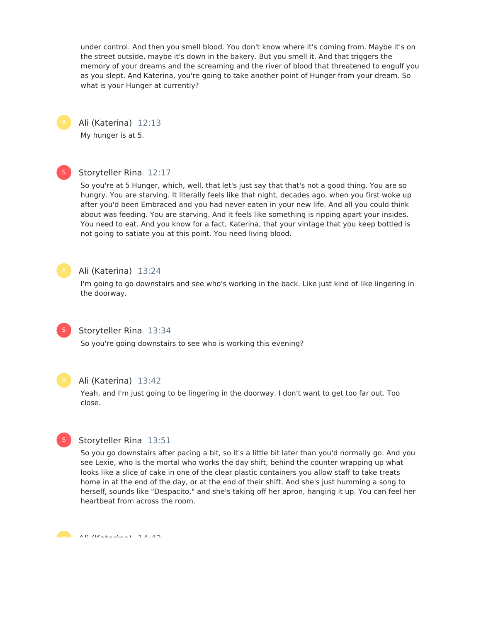under control. And then you smell blood. You don't know where it's coming from. Maybe it's on the street outside, maybe it's down in the bakery. But you smell it. And that triggers the memory of your dreams and the screaming and the river of blood that threatened to engulf you as you slept. And Katerina, you're going to take another point of Hunger from your dream. So what is your Hunger at currently?



Ali (Katerina) 12:13

My hunger is at 5.

# S

### Storyteller Rina 12:17

So you're at 5 Hunger, which, well, that let's just say that that's not a good thing. You are so hungry. You are starving. It literally feels like that night, decades ago, when you first woke up after you'd been Embraced and you had never eaten in your new life. And all you could think about was feeding. You are starving. And it feels like something is ripping apart your insides. You need to eat. And you know for a fact, Katerina, that your vintage that you keep bottled is not going to satiate you at this point. You need living blood.



### Ali (Katerina) 13:24

I'm going to go downstairs and see who's working in the back. Like just kind of like lingering in the doorway.



### Storyteller Rina 13:34

So you're going downstairs to see who is working this evening?



### Ali (Katerina) 13:42

Yeah, and I'm just going to be lingering in the doorway. I don't want to get too far out. Too close.



### Storyteller Rina 13:51

So you go downstairs after pacing a bit, so it's a little bit later than you'd normally go. And you see Lexie, who is the mortal who works the day shift, behind the counter wrapping up what looks like a slice of cake in one of the clear plastic containers you allow staff to take treats home in at the end of the day, or at the end of their shift. And she's just humming a song to herself, sounds like "Despacito," and she's taking off her apron, hanging it up. You can feel her heartbeat from across the room.

Ali (Katerina) 14:43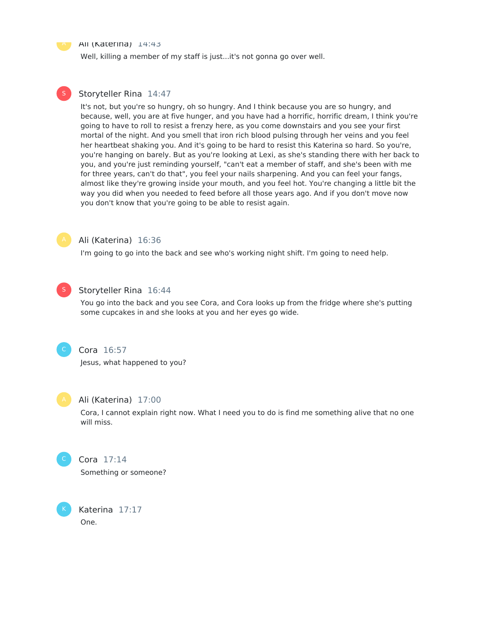#### A Ali (Katerina) 14:43

Well, killing a member of my staff is just...it's not gonna go over well.

#### Storyteller Rina 14:47

It's not, but you're so hungry, oh so hungry. And I think because you are so hungry, and because, well, you are at five hunger, and you have had a horrific, horrific dream, I think you're going to have to roll to resist a frenzy here, as you come downstairs and you see your first mortal of the night. And you smell that iron rich blood pulsing through her veins and you feel her heartbeat shaking you. And it's going to be hard to resist this Katerina so hard. So you're, you're hanging on barely. But as you're looking at Lexi, as she's standing there with her back to you, and you're just reminding yourself, "can't eat a member of staff, and she's been with me for three years, can't do that", you feel your nails sharpening. And you can feel your fangs, almost like they're growing inside your mouth, and you feel hot. You're changing a little bit the way you did when you needed to feed before all those years ago. And if you don't move now you don't know that you're going to be able to resist again.



#### Ali (Katerina) 16:36

I'm going to go into the back and see who's working night shift. I'm going to need help.



### Storyteller Rina 16:44

You go into the back and you see Cora, and Cora looks up from the fridge where she's putting some cupcakes in and she looks at you and her eyes go wide.



### Cora 16:57

Jesus, what happened to you?



#### Ali (Katerina) 17:00

Cora, I cannot explain right now. What I need you to do is find me something alive that no one will miss.



K

### Cora 17:14

Something or someone?

Katerina 17:17 One.



S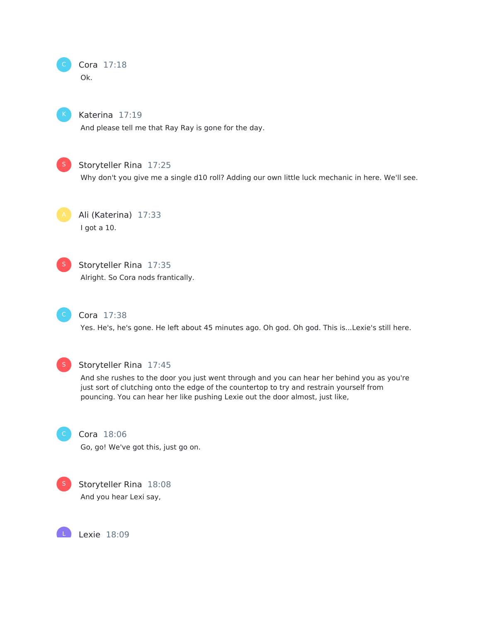



#### Katerina 17:19

And please tell me that Ray Ray is gone for the day.



### Storyteller Rina 17:25

Why don't you give me a single d10 roll? Adding our own little luck mechanic in here. We'll see.

Ali (Katerina) 17:33 I got a 10.



### Storyteller Rina 17:35

Alright. So Cora nods frantically.



### Cora 17:38

Yes. He's, he's gone. He left about 45 minutes ago. Oh god. Oh god. This is...Lexie's still here.



#### Storyteller Rina 17:45

And she rushes to the door you just went through and you can hear her behind you as you're just sort of clutching onto the edge of the countertop to try and restrain yourself from pouncing. You can hear her like pushing Lexie out the door almost, just like,



### Cora 18:06

Go, go! We've got this, just go on.



L

Storyteller Rina 18:08 And you hear Lexi say,

Lexie 18:09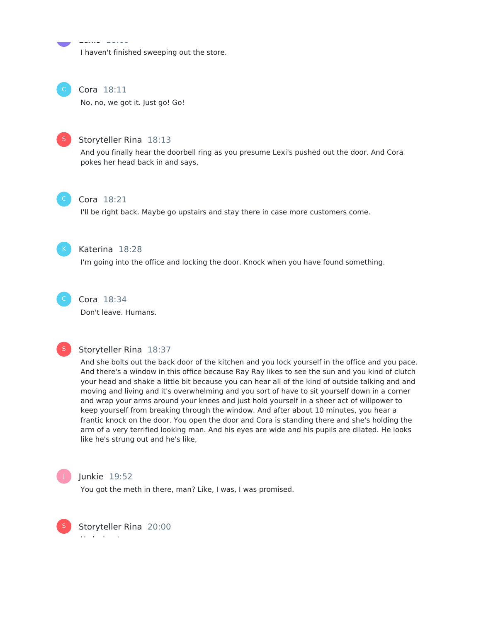I haven't finished sweeping out the store.



#### Cora 18:11

Lexie 18:09

No, no, we got it. Just go! Go!



#### Storyteller Rina 18:13

And you finally hear the doorbell ring as you presume Lexi's pushed out the door. And Cora pokes her head back in and says,



#### Cora 18:21

I'll be right back. Maybe go upstairs and stay there in case more customers come.



#### Katerina 18:28

I'm going into the office and locking the door. Knock when you have found something.



## Cora 18:34

Don't leave. Humans.



#### Storyteller Rina 18:37

And she bolts out the back door of the kitchen and you lock yourself in the office and you pace. And there's a window in this office because Ray Ray likes to see the sun and you kind of clutch your head and shake a little bit because you can hear all of the kind of outside talking and and moving and living and it's overwhelming and you sort of have to sit yourself down in a corner and wrap your arms around your knees and just hold yourself in a sheer act of willpower to keep yourself from breaking through the window. And after about 10 minutes, you hear a frantic knock on the door. You open the door and Cora is standing there and she's holding the arm of a very terrified looking man. And his eyes are wide and his pupils are dilated. He looks like he's strung out and he's like,



#### Junkie 19:52

You got the meth in there, man? Like, I was, I was promised.



Storyteller Rina 20:00 He looks at you.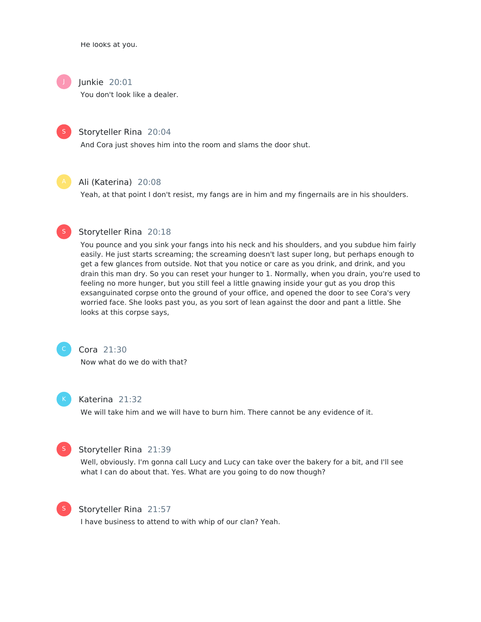He looks at you.



### Junkie 20:01

You don't look like a dealer.



Storyteller Rina 20:04

And Cora just shoves him into the room and slams the door shut.



#### Ali (Katerina) 20:08

Yeah, at that point I don't resist, my fangs are in him and my fingernails are in his shoulders.



#### Storyteller Rina 20:18

You pounce and you sink your fangs into his neck and his shoulders, and you subdue him fairly easily. He just starts screaming; the screaming doesn't last super long, but perhaps enough to get a few glances from outside. Not that you notice or care as you drink, and drink, and you drain this man dry. So you can reset your hunger to 1. Normally, when you drain, you're used to feeling no more hunger, but you still feel a little gnawing inside your gut as you drop this exsanguinated corpse onto the ground of your office, and opened the door to see Cora's very worried face. She looks past you, as you sort of lean against the door and pant a little. She looks at this corpse says,



### Cora 21:30

Now what do we do with that?



#### Katerina 21:32

We will take him and we will have to burn him. There cannot be any evidence of it.



#### Storyteller Rina 21:39

Well, obviously. I'm gonna call Lucy and Lucy can take over the bakery for a bit, and I'll see what I can do about that. Yes. What are you going to do now though?



#### Storyteller Rina 21:57

I have business to attend to with whip of our clan? Yeah.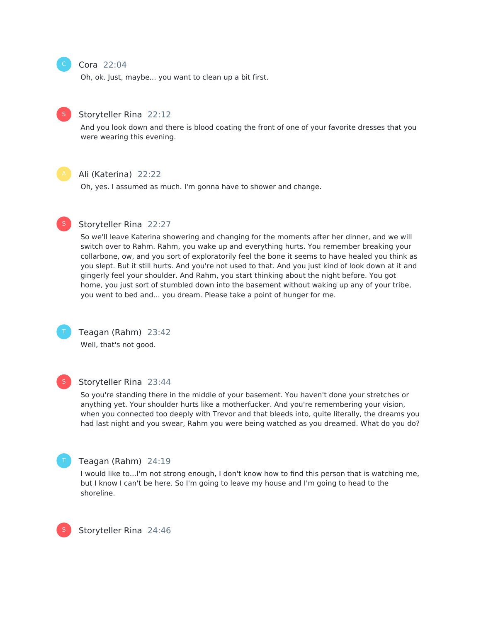#### Cora 22:04

Oh, ok. Just, maybe... you want to clean up a bit first.



### Storyteller Rina 22:12

And you look down and there is blood coating the front of one of your favorite dresses that you were wearing this evening.



#### Ali (Katerina) 22:22

Oh, yes. I assumed as much. I'm gonna have to shower and change.



#### Storyteller Rina 22:27

So we'll leave Katerina showering and changing for the moments after her dinner, and we will switch over to Rahm. Rahm, you wake up and everything hurts. You remember breaking your collarbone, ow, and you sort of exploratorily feel the bone it seems to have healed you think as you slept. But it still hurts. And you're not used to that. And you just kind of look down at it and gingerly feel your shoulder. And Rahm, you start thinking about the night before. You got home, you just sort of stumbled down into the basement without waking up any of your tribe, you went to bed and... you dream. Please take a point of hunger for me.



## Teagan (Rahm) 23:42

Well, that's not good.



#### Storyteller Rina 23:44

So you're standing there in the middle of your basement. You haven't done your stretches or anything yet. Your shoulder hurts like a motherfucker. And you're remembering your vision, when you connected too deeply with Trevor and that bleeds into, quite literally, the dreams you had last night and you swear, Rahm you were being watched as you dreamed. What do you do?



#### Teagan (Rahm) 24:19

I would like to...I'm not strong enough, I don't know how to find this person that is watching me, but I know Ican't be here. So I'm going to leave my house and I'm going to head to the shoreline.



Storyteller Rina 24:46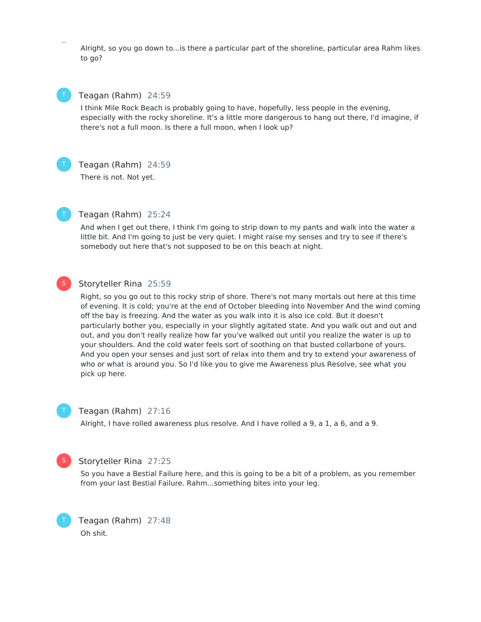Alright, so you go down to...is there a particular part of the shoreline, particular area Rahm likes to go?



#### Teagan (Rahm) 24:59

I think Mile Rock Beach is probably going to have, hopefully, less people in the evening, especially with the rocky shoreline. It's a little more dangerous to hang out there, I'd imagine, if there's not a full moon. Is there a full moon, when I look up?



#### Teagan (Rahm) 24:59

There is not. Not yet.



#### Teagan (Rahm) 25:24

And when I get out there, I think I'm going to strip down to my pants and walk into the water a little bit. And I'm going to just be very quiet. I might raise my senses and try to see if there's somebody out here that's not supposed to be on this beach at night.

### S

### Storyteller Rina 25:59

Right, so you go out to this rocky strip of shore. There's not many mortals out here at this time of evening. It is cold; you're at the end of October bleeding into November And the wind coming off the bay is freezing. And the water as you walk into it is also ice cold. But it doesn't particularly bother you, especially in your slightly agitated state. And you walk out and out and out, and you don't really realize how far you've walked out until you realize the water is up to your shoulders. And the cold water feels sort of soothing on that busted collarbone of yours. And you open your senses and just sort of relax into them and try to extend your awareness of who or what is around you. So I'd like you to give me Awareness plus Resolve, see what you pick up here.



#### Teagan (Rahm) 27:16

Alright, I have rolled awareness plus resolve. And I have rolled a 9, a 1, a 6, and a 9.



T

#### Storyteller Rina 27:25

So you have a Bestial Failure here, and this is going to be a bit of a problem, as you remember from your last Bestial Failure. Rahm...something bites into your leg.

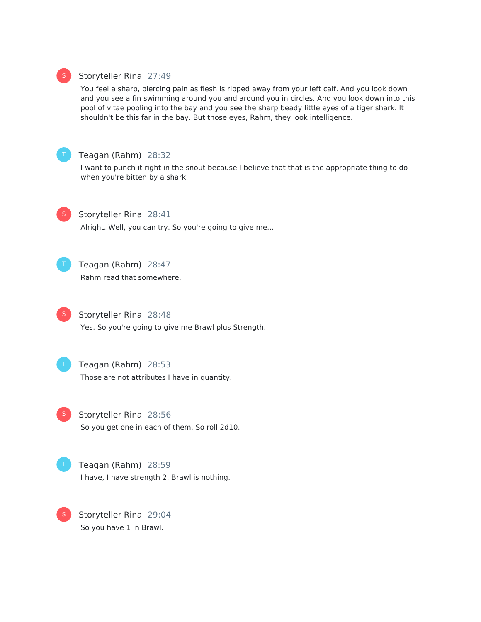### Storyteller Rina 27:49

You feel a sharp, piercing pain as flesh is ripped away from your left calf. And you look down and you see a fin swimming around you and around you in circles. And you look down into this pool of vitae pooling into the bay and you see the sharp beady little eyes of a tiger shark. It shouldn't be this far in the bay. But those eyes, Rahm, they look intelligence.



S

### Teagan (Rahm) 28:32

I want to punch it right in the snout because I believe that that is the appropriate thing to do when you're bitten by a shark.



### Storyteller Rina 28:41

Alright. Well, you can try. So you're going to give me...



### Teagan (Rahm) 28:47 Rahm read that somewhere.



# Storyteller Rina 28:48

Yes. So you're going to give me Brawl plus Strength.



#### Teagan (Rahm) 28:53

Those are not attributes I have in quantity.



# Storyteller Rina 28:56

So you get one in each of them. So roll 2d10.



S

### Teagan (Rahm) 28:59 I have, I have strength 2. Brawl is nothing.

Storyteller Rina 29:04 So you have 1 in Brawl.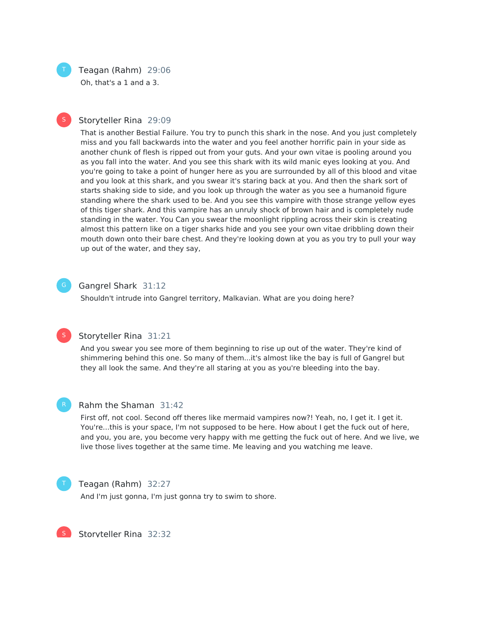### Teagan (Rahm) 29:06

Oh, that's a 1 and a 3.

#### Storyteller Rina 29:09 S

That is another Bestial Failure. You try to punch this shark in the nose. And you just completely miss and you fall backwards into the water and you feel another horrific pain in your side as another chunk of flesh is ripped out from your guts. And your own vitae is pooling around you as you fall into the water. And you see this shark with its wild manic eyes looking at you. And you're going to take a point of hunger here as you are surrounded by all of this blood and vitae and you look at this shark, and you swear it's staring back at you. And then the shark sort of starts shaking side to side, and you look up through the water as you see a humanoid figure standing where the shark used to be. And you see this vampire with those strange yellow eyes of this tiger shark. And this vampire has an unruly shock of brown hair and is completely nude standing in the water. You Can you swear the moonlight rippling across their skin is creating almost this pattern like on a tiger sharks hide and you see your own vitae dribbling down their mouth down onto their bare chest. And they're looking down at you as you try to pull your way up out of the water, and they say,



#### Gangrel Shark 31:12

Shouldn't intrude into Gangrel territory, Malkavian. What are you doing here?



#### Storyteller Rina 31:21

And you swear you see more of them beginning to rise up out of the water. They're kind of shimmering behind this one. So many of them...it's almost like the bay is full of Gangrel but they all look the same. And they're all staring at you as you're bleeding into the bay.



#### Rahm the Shaman 31:42

First off, not cool. Second off theres like mermaid vampires now?! Yeah, no, I get it. I get it. You're...this is your space, I'm not supposed to be here. How about I get the fuck out of here, and you, you are, you become very happy with me getting the fuck out of here. And we live, we live those lives together at the same time. Me leaving and you watching me leave.



#### Teagan (Rahm) 32:27

And I'm just gonna, I'm just gonna try to swim to shore.

S

Storyteller Rina 32:32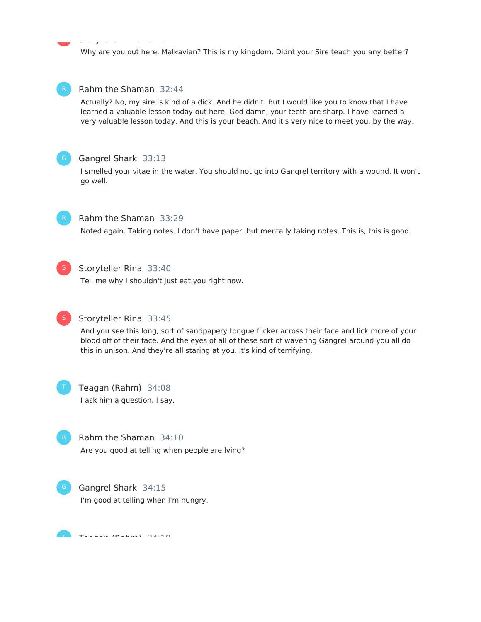Why are you out here, Malkavian? This is my kingdom. Didnt your Sire teach you any better?



Actually? No, my sire is kind of a dick. And he didn't. But I would like you to know that I have learned a valuable lesson today out here. God damn, your teeth are sharp. I have learned a very valuable lesson today. And this is your beach. And it's very nice to meet you, by the way.



### Gangrel Shark 33:13

Storyteller Rina 32:32

I smelled your vitae in the water. You should not go into Gangrel territory with a wound. It won't go well.



### Rahm the Shaman 33:29

Noted again. Taking notes. I don't have paper, but mentally taking notes. This is, this is good.



### Storyteller Rina 33:40

Tell me why I shouldn't just eat you right now.



### Storyteller Rina 33:45

And you see this long, sort of sandpapery tongue flicker across their face and lick more of your blood off of their face. And the eyes of all of these sort of wavering Gangrel around you all do this in unison. And they're all staring at you. It's kind of terrifying.



### Teagan (Rahm) 34:08 I ask him a question. I say,



### Rahm the Shaman 34:10 Are you good at telling when people are lying?

Gangrel Shark 34:15 I'm good at telling when I'm hungry.

 $T$ an  $T$ an  $\{n \}$  and  $T$   $\{n \}$   $\{n \}$   $\{n \}$   $\{n \}$   $\{n \}$   $\{n \}$   $\{n \}$   $\{n \}$   $\{n \}$   $\{n \}$   $\{n \}$   $\{n \}$   $\{n \}$   $\{n \}$   $\{n \}$   $\{n \}$   $\{n \}$   $\{n \}$   $\{n \}$   $\{n \}$   $\{n \}$   $\{n \}$   $\{n \}$   $\{n \}$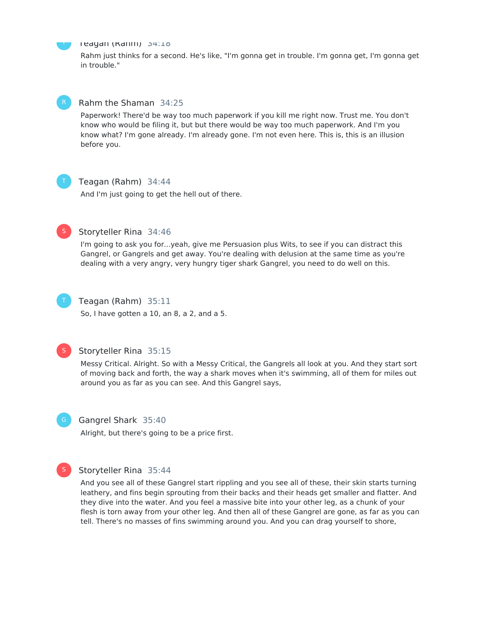

#### Teagan (Rahm) 34:18

Rahm just thinks for a second. He's like, "I'm gonna get in trouble. I'm gonna get, I'm gonna get in trouble."



#### Rahm the Shaman 34:25

Paperwork! There'd be way too much paperwork if you kill me right now. Trust me. You don't know who would be filing it, but but there would be way too much paperwork. And I'm you know what? I'm gone already. I'm already gone. I'm not even here. This is, this is an illusion before you.



### Teagan (Rahm) 34:44

And I'm just going to get the hell out of there.



#### Storyteller Rina 34:46

I'm going to ask you for...yeah, give me Persuasion plus Wits, to see if you can distract this Gangrel, or Gangrels and get away. You're dealing with delusion at the same time as you're dealing with a very angry, very hungry tiger shark Gangrel, you need to do well on this.



#### Teagan (Rahm) 35:11

So, I have gotten a 10, an 8, a 2, and a 5.



#### Storyteller Rina 35:15

Messy Critical. Alright. So with a Messy Critical, the Gangrels all look at you. And they start sort of moving back and forth, the way a shark moves when it's swimming, all of them for miles out around you as far as you can see. And this Gangrel says,



S

#### Gangrel Shark 35:40

Alright, but there's going to be a price first.



# And you see all of these Gangrel start rippling and you see all of these, their skin starts turning

leathery, and fins begin sprouting from their backs and their heads get smaller and flatter. And they dive into the water. And you feel a massive bite into your other leg, as a chunk of your flesh is torn away from your other leg. And then all of these Gangrel are gone, as far as you can tell. There's no masses of fins swimming around you. And you can drag yourself to shore,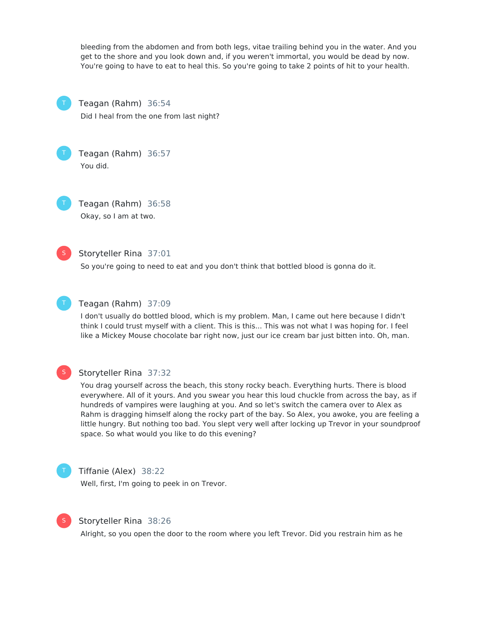bleeding from the abdomen and from both legs, vitae trailing behind you in the water. And you get to the shore and you look down and, if you weren't immortal, you would be dead by now. You're going to have to eat to heal this. So you're going to take 2 points of hit to your health.



### Teagan (Rahm) 36:54

Did I heal from the one from last night?



Teagan (Rahm) 36:57 You did.

Teagan (Rahm) 36:58 Okay, so I am at two.



#### Storyteller Rina 37:01

So you're going to need to eat and you don't think that bottled blood is gonna do it.



#### Teagan (Rahm) 37:09

I don't usually do bottled blood, which is my problem. Man, I came out here because I didn't think I could trust myself with a client. This is this... This was not what I was hoping for. I feel like a Mickey Mouse chocolate bar right now, just our ice cream bar just bitten into. Oh, man.



#### Storyteller Rina 37:32

You drag yourself across the beach, this stony rocky beach. Everything hurts. There is blood everywhere. All of it yours. And you swear you hear this loud chuckle from across the bay, as if hundreds of vampires were laughing at you. And so let's switch the camera over to Alex as Rahm is dragging himself along the rocky part of the bay. So Alex, you awoke, you are feeling a little hungry. But nothing too bad. You slept very well after locking up Trevor in your soundproof space. So what would you like to do this evening?



#### Tiffanie (Alex) 38:22

Well, first, I'm going to peek in on Trevor.



#### Storyteller Rina 38:26

Alright, so you open the door to the room where you left Trevor. Did you restrain him as he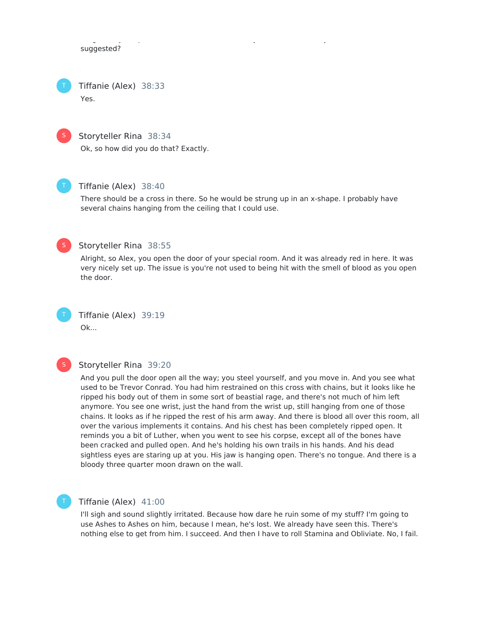Alright, so you open the door to the room where you left Trevor. Did you restrain him as he suggested?

Tiffanie (Alex) 38:33 Yes.

S

### Storyteller Rina 38:34

Ok, so how did you do that? Exactly.



### Tiffanie (Alex) 38:40

There should be a cross in there. So he would be strung up in an x-shape. I probably have several chains hanging from the ceiling that I could use.



### Storyteller Rina 38:55

Alright, so Alex, you open the door of your special room. And it was already red in here. It was very nicely set up. The issue is you're not used to being hit with the smell of blood as you open the door.



Tiffanie (Alex) 39:19 Ok...

### S

#### Storyteller Rina 39:20

And you pull the door open all the way; you steel yourself, and you move in. And you see what used to be Trevor Conrad. You had him restrained on this cross with chains, but it looks like he ripped his body out of them in some sort of beastial rage, and there's not much of him left anymore. You see one wrist, just the hand from the wrist up, still hanging from one of those chains. It looks as if he ripped the rest of his arm away. And there is blood all over this room, all over the various implements it contains. And his chest has been completely ripped open. It reminds you a bit of Luther, when you went to see his corpse, except all of the bones have been cracked and pulled open. And he's holding his own trails in his hands. And his dead sightless eyes are staring up at you. His jaw is hanging open. There's no tongue. And there is a bloody three quarter moon drawn on the wall.

### Tiffanie (Alex) 41:00

I'll sigh and sound slightly irritated. Because how dare he ruin some of my stuff? I'm going to use Ashes to Ashes on him, because I mean, he's lost. We already have seen this. There's nothing else to get from him. I succeed. And then I have to roll Stamina and Obliviate. No, I fail.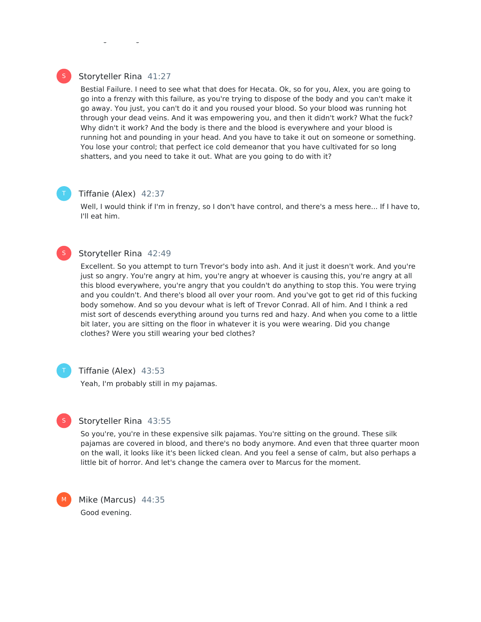### Storyteller Rina 41:27

Bestial Failure. I need to see what that does for Hecata. Ok, so for you, Alex, you are going to go into a frenzy with this failure, as you're trying to dispose of the body and you can't make it go away. You just, you can't do it and you roused your blood. So your blood was running hot through your dead veins. And it was empowering you, and then it didn't work? What the fuck? Why didn't it work? And the body is there and the blood is everywhere and your blood is running hot and pounding in your head. And you have to take it out on someone or something. You lose your control; that perfect ice cold demeanor that you have cultivated for so long shatters, and you need to take it out. What are you going to do with it?

nothing else to get from him. I succeed. And then I have to roll Stamina and Obliviate. No, I fail.

#### Tiffanie (Alex) 42:37

Well, I would think if I'm in frenzy, so I don't have control, and there's a mess here... If I have to, I'll eat him.

#### Storyteller Rina 42:49

Excellent. So you attempt to turn Trevor's body into ash. And it just it doesn't work. And you're just so angry. You're angry at him, you're angry at whoever is causing this, you're angry at all this blood everywhere, you're angry that you couldn't do anything to stop this. You were trying and you couldn't. And there's blood all over your room. And you've got to get rid of this fucking body somehow. And so you devour what is left of Trevor Conrad. All of him. And I think a red mist sort of descends everything around you turns red and hazy. And when you come to a little bit later, you are sitting on the floor in whatever it is you were wearing. Did you change clothes? Were you still wearing your bed clothes?

S

#### Tiffanie (Alex) 43:53

Yeah, I'm probably still in my pajamas.



#### Storyteller Rina 43:55

So you're, you're in these expensive silk pajamas. You're sitting on the ground. These silk pajamas are covered in blood, and there's no body anymore. And even that three quarter moon on the wall, it looks like it's been licked clean. And you feel a sense of calm, but also perhaps a little bit of horror. And let's change the camera over to Marcus for the moment.



Mike (Marcus) 44:35 Good evening.

S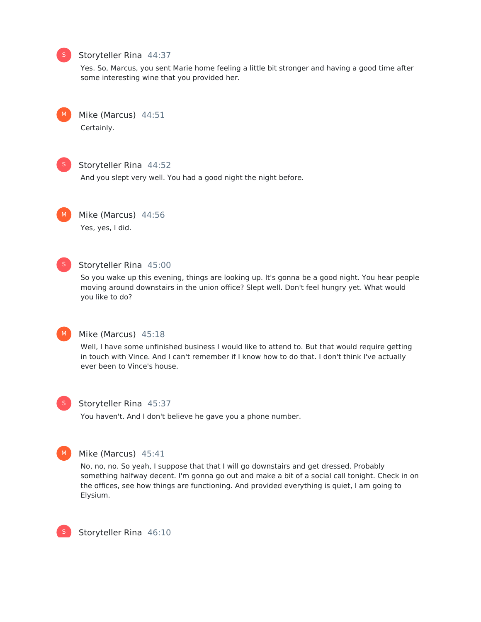#### Storyteller Rina 44:37

Yes. So, Marcus, you sent Marie home feeling a little bit stronger and having a good time after some interesting wine that you provided her.



Mike (Marcus) 44:51 Certainly.



S

### Storyteller Rina 44:52

And you slept very well. You had a good night the night before.



### Mike (Marcus) 44:56

Yes, yes, I did.



### Storyteller Rina 45:00

So you wake up this evening, things are looking up. It's gonna be a good night. You hear people moving around downstairs in the union office? Slept well. Don't feel hungry yet. What would you like to do?



### Mike (Marcus) 45:18

Well, I have some unfinished business I would like to attend to. But that would require getting in touch with Vince. And I can't remember if I know how to do that. I don't think I've actually ever been to Vince's house.



#### Storyteller Rina 45:37

You haven't. And I don't believe he gave you a phone number.



### Mike (Marcus) 45:41

No, no, no. So yeah, I suppose that that I will go downstairs and get dressed. Probably something halfway decent. I'm gonna go out and make a bit of a social call tonight. Check in on the offices, see how things are functioning. And provided everything is quiet, I am going to Elysium.



Storyteller Rina 46:10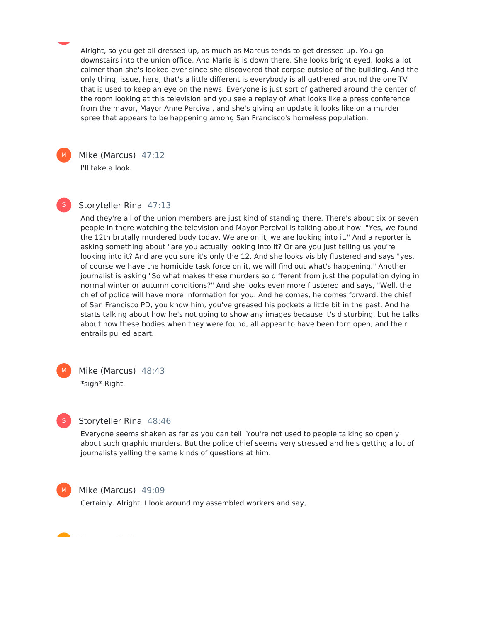Alright, so you get all dressed up, as much as Marcus tends to get dressed up. You go downstairs into the union office, And Marie is is down there. She looks bright eyed, looks a lot calmer than she's looked ever since she discovered that corpse outside of the building. And the only thing, issue, here, that's a little different is everybody is all gathered around the one TV that is used to keep an eye on the news. Everyone is just sort of gathered around the center of the room looking at this television and you see a replay of what looks like a press conference from the mayor, Mayor Anne Percival, and she's giving an update it looks like on a murder spree that appears to be happening among San Francisco's homeless population.



Mike (Marcus) 47:12 I'll take a look.



#### Storyteller Rina 47:13

And they're all of the union members are just kind of standing there. There's about six or seven people in there watching the television and Mayor Percival is talking about how, "Yes, we found the 12th brutally murdered body today. We are on it, we are looking into it." And a reporter is asking something about "are you actually looking into it? Or are you just telling us you're looking into it? And are you sure it's only the 12. And she looks visibly flustered and says "yes, of course we have the homicide task force on it, we will find out what's happening." Another journalist is asking "So what makes these murders so different from just the population dying in normal winter or autumn conditions?" And she looks even more flustered and says, "Well, the chief of police will have more information for you. And he comes, he comes forward, the chief of San Francisco PD, you know him, you've greased his pockets a little bit in the past. And he starts talking about how he's not going to show any images because it's disturbing, but he talks about how these bodies when they were found, all appear to have been torn open, and their entrails pulled apart.

M

Mike (Marcus) 48:43 \*sigh\* Right.



#### Storyteller Rina 48:46

Everyone seems shaken as far as you can tell. You're not used to people talking so openly about such graphic murders. But the police chief seems very stressed and he's getting a lot of journalists yelling the same kinds of questions at him.



#### Mike (Marcus) 49:09

Certainly. Alright. I look around my assembled workers and say,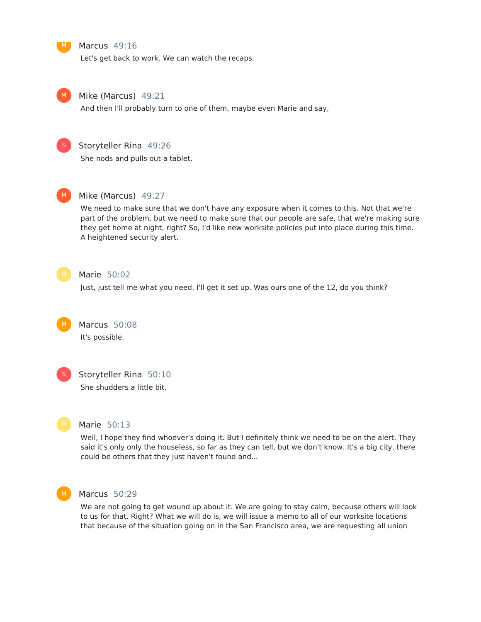Marcus 49:16

Let's get back to work. We can watch the recaps.



 $M$ 

#### Mike (Marcus) 49:21

And then I'll probably turn to one of them, maybe even Marie and say,



### Storyteller Rina 49:26

She nods and pulls out a tablet.



#### Mike (Marcus) 49:27

We need to make sure that we don't have any exposure when it comes to this. Not that we're part of the problem, but we need to make sure that our people are safe, that we're making sure they get home at night, right? So, I'd like new worksite policies put into place during this time. A heightened security alert.



#### Marie 50:02

Just, just tell me what you need. I'll get it set up. Was ours one of the 12, do you think?

Marcus 50:08 It's possible. M



#### Storyteller Rina 50:10

She shudders a little bit.



#### Marie 50:13

Well, I hope they find whoever's doing it. But I definitely think we need to be on the alert. They said it's only only the houseless, so far as they can tell, but we don't know. It's a big city, there could be others that they just haven't found and...



#### Marcus 50:29

We are not going to get wound up about it. We are going to stay calm, because others will look to us for that. Right? What we will do is, we will issue a memo to all of our worksite locations that because of the situation going on in the San Francisco area, we are requesting all union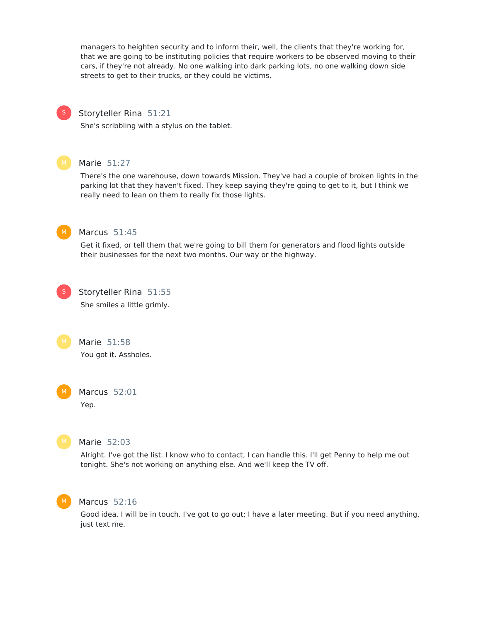managers to heighten security and to inform their, well, the clients that they're working for, that we are going to be instituting policies that require workers to be observed moving to their cars, if they're not already. No one walking into dark parking lots, no one walking down side streets to get to their trucks, or they could be victims.

#### Storyteller Rina 51:21

She's scribbling with a stylus on the tablet.



S

#### Marie 51:27

There's the one warehouse, down towards Mission. They've had a couple of broken lights in the parking lot that they haven't fixed. They keep saying they're going to get to it, but I think we really need to lean on them to really fix those lights.



#### Marcus 51:45

Get it fixed, or tell them that we're going to bill them for generators and flood lights outside their businesses for the next two months. Our way or the highway.



Storyteller Rina 51:55 She smiles a little grimly.

Marie 51:58 You got it. Assholes.





#### Marie 52:03

Alright. I've got the list. I know who to contact, I can handle this. I'll get Penny to help me out tonight. She's not working on anything else. And we'll keep the TV off.



#### Marcus 52:16

Good idea. I will be in touch. I've got to go out; I have a later meeting. But if you need anything, just text me.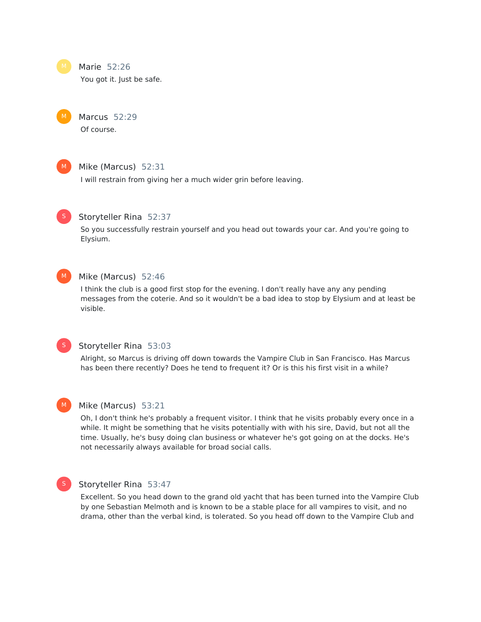M

Marie 52:26

You got it. Just be safe.

Marcus 52:29 Of course.



#### Mike (Marcus) 52:31

I will restrain from giving her a much wider grin before leaving.



#### Storyteller Rina 52:37

So you successfully restrain yourself and you head out towards your car. And you're going to Elysium.



#### Mike (Marcus) 52:46

I think the club is a good first stop for the evening. I don't really have any any pending messages from the coterie. And so it wouldn't be a bad idea to stop by Elysium and at least be visible.



#### Storyteller Rina 53:03

Alright, so Marcus is driving off down towards the Vampire Club in San Francisco. Has Marcus has been there recently? Does he tend to frequent it? Or is this his first visit in a while?



#### Mike (Marcus) 53:21

Oh, I don't think he's probably a frequent visitor. I think that he visits probably every once in a while. It might be something that he visits potentially with with his sire, David, but not all the time. Usually, he's busy doing clan business or whatever he's got going on at the docks. He's not necessarily always available for broad social calls.



#### Storyteller Rina 53:47

Excellent. So you head down to the grand old yacht that has been turned into the Vampire Club by one Sebastian Melmoth and is known to be a stable place for all vampires to visit, and no drama, other than the verbal kind, is tolerated. So you head off down to the Vampire Club and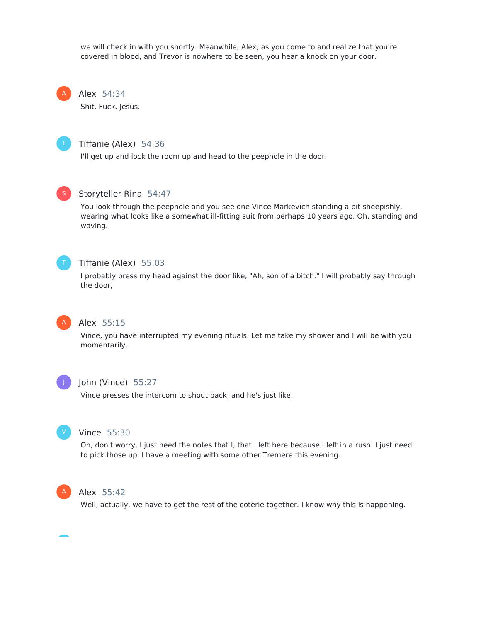we will check in with you shortly. Meanwhile, Alex, as you come to and realize that you're covered in blood, and Trevor is nowhere to be seen, you hear a knock on your door.

Alex 54:34 A

Shit. Fuck. Jesus.



### Tiffanie (Alex) 54:36

I'll get up and lock the room up and head to the peephole in the door.



#### Storyteller Rina 54:47

You look through the peephole and you see one Vince Markevich standing a bit sheepishly, wearing what looks like a somewhat ill-fitting suit from perhaps 10 years ago. Oh, standing and waving.



#### Tiffanie (Alex) 55:03

I probably press my head against the door like, "Ah, son of a bitch." I will probably say through the door,



### Alex 55:15

Vince, you have interrupted my evening rituals. Let me take my shower and I will be with you momentarily.



#### John (Vince) 55:27

Vince presses the intercom to shout back, and he's just like,



#### Vince 55:30

Oh, don't worry, I just need the notes that I, that I left here because I left in a rush. I just need to pick those up. I have a meeting with some other Tremere this evening.



### Alex 55:42

Well, actually, we have to get the rest of the coterie together. I know why this is happening.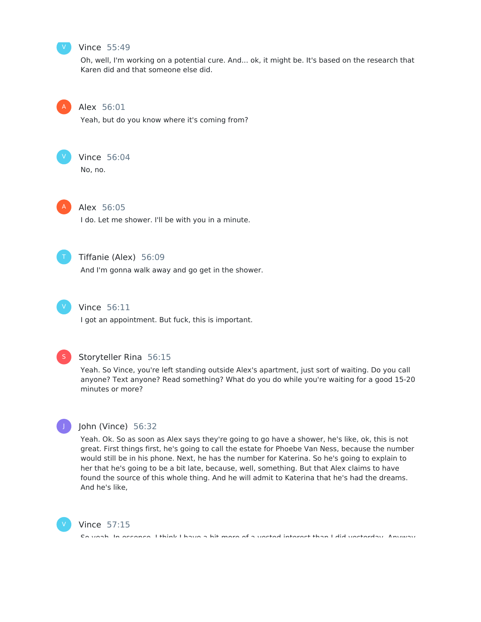

#### Vince 55:49

Oh, well, I'm working on a potential cure. And... ok, it might be. It's based on the research that Karen did and that someone else did.



#### Alex 56:01

Yeah, but do you know where it's coming from?



### Vince 56:04

No, no.



### Alex 56:05

I do. Let me shower. I'll be with you in a minute.



### Tiffanie (Alex) 56:09

And I'm gonna walk away and go get in the shower.



### Vince 56:11

I got an appointment. But fuck, this is important.



J

#### Storyteller Rina 56:15

Yeah. So Vince, you're left standing outside Alex's apartment, just sort of waiting. Do you call anyone? Text anyone? Read something? What do you do while you're waiting for a good 15-20 minutes or more?



Yeah. Ok. So as soon as Alex says they're going to go have a shower, he's like, ok, this is not great. First things first, he's going to call the estate for Phoebe Van Ness, because the number would still be in his phone. Next, he has the number for Katerina. So he's going to explain to her that he's going to be a bit late, because, well, something. But that Alex claims to have found the source of this whole thing. And he will admit to Katerina that he's had the dreams. And he's like,



#### Vince 57:15

So yeah. In essence, I think I have a bit more of a vested interest than I did yesterday. Anyway,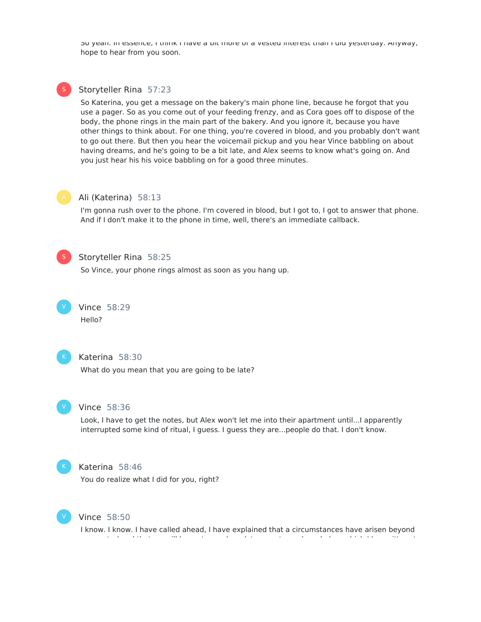So yeah. In essence, I think I have a bit more of a vested interest than I did yesterday. Anyway, hope to hear from you soon.

#### Storyteller Rina 57:23 S

So Katerina, you get a message on the bakery's main phone line, because he forgot that you use a pager. So as you come out of your feeding frenzy, and as Cora goes off to dispose of the body, the phone rings in the main part of the bakery. And you ignore it, because you have other things to think about. For one thing, you're covered in blood, and you probably don't want to go out there. But then you hear the voicemail pickup and you hear Vince babbling on about having dreams, and he's going to be a bit late, and Alex seems to know what's going on. And you just hear his his voice babbling on for a good three minutes.



#### Ali (Katerina) 58:13

I'm gonna rush over to the phone. I'm covered in blood, but I got to, I got to answer that phone. And if I don't make it to the phone in time, well, there's an immediate callback.



### Storyteller Rina 58:25

So Vince, your phone rings almost as soon as you hang up.

Vince 58:29 Hello? V



#### Katerina 58:30

What do you mean that you are going to be late?



### Vince 58:36

Look, I have to get the notes, but Alex won't let me into their apartment until...I apparently interrupted some kind of ritual, I guess. I guess they are...people do that. I don't know.



#### Katerina 58:46

You do realize what I did for you, right?



#### Vince 58:50

I know. I know. I have called ahead, I have explained that a circumstances have arisen beyond our control and that we will be up to one hour late now, to my knowledge, which I know it's not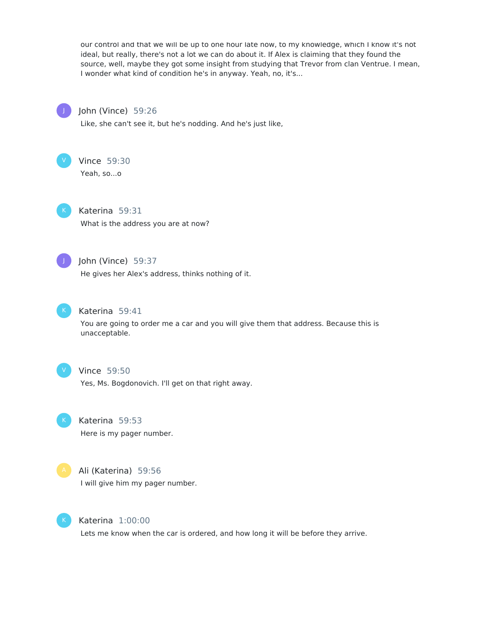our control and that we will be up to one hour late now, to my knowledge, which I know it's not ideal, but really, there's not a lot we can do about it. If Alex is claiming that they found the source, well, maybe they got some insight from studying that Trevor from clan Ventrue. I mean, I wonder what kind of condition he's in anyway. Yeah, no, it's...



#### John (Vince) 59:26

Like, she can't see it, but he's nodding. And he's just like,



#### Vince 59:30

Yeah, so...o



### Katerina 59:31

What is the address you are at now?



### John (Vince) 59:37

He gives her Alex's address, thinks nothing of it.



### Katerina 59:41

You are going to order me a car and you will give them that address. Because this is unacceptable.



#### Vince 59:50

Yes, Ms. Bogdonovich. I'll get on that right away.



#### Katerina 59:53

Here is my pager number.



### Ali (Katerina) 59:56

I will give him my pager number.



### Katerina 1:00:00

Lets me know when the car is ordered, and how long it will be before they arrive.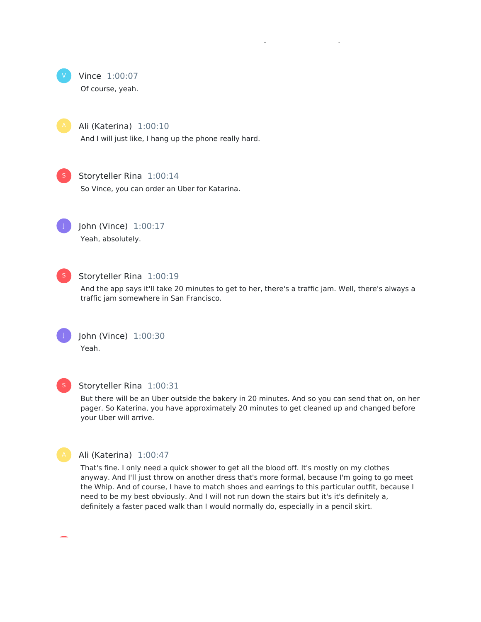

Ali (Katerina) 1:00:10

And I will just like, I hang up the phone really hard.

Lets me know when the car is ordered, and how long it will be before they arrive.



#### Storyteller Rina 1:00:14

So Vince, you can order an Uber for Katarina.



John (Vince) 1:00:17 Yeah, absolutely.

S

### Storyteller Rina 1:00:19

And the app says it'll take 20 minutes to get to her, there's a traffic jam. Well, there's always a traffic jam somewhere in San Francisco.



John (Vince) 1:00:30 Yeah.



### Storyteller Rina 1:00:31

But there will be an Uber outside the bakery in 20 minutes. And so you can send that on, on her pager. So Katerina, you have approximately 20 minutes to get cleaned up and changed before your Uber will arrive.



### Ali (Katerina) 1:00:47

That's fine. I only need a quick shower to get all the blood off. It's mostly on my clothes anyway. And I'll just throw on another dress that's more formal, because I'm going to go meet the Whip. And of course, I have to match shoes and earrings to this particular outfit, because I need to be my best obviously. And I will not run down the stairs but it's it's definitely a, definitely a faster paced walk than I would normally do, especially in a pencil skirt.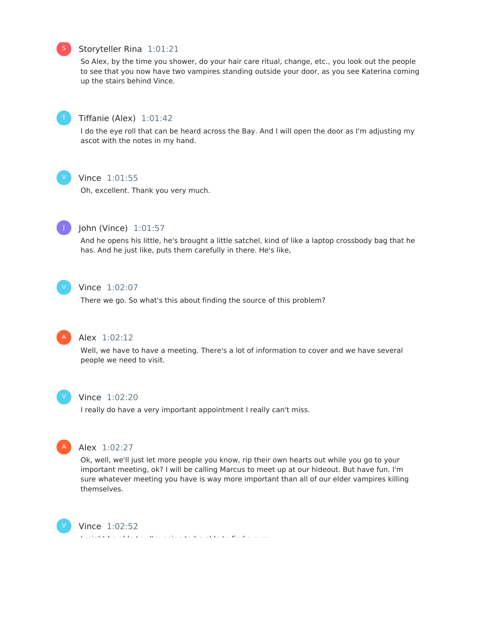#### Storyteller Rina 1:01:21

So Alex, by the time you shower, do your hair care ritual, change, etc., you look out the people to see that you now have two vampires standing outside your door, as you see Katerina coming up the stairs behind Vince.



#### Tiffanie (Alex) 1:01:42

I do the eye roll that can be heard across the Bay. And I will open the door as I'm adjusting my ascot with the notes in my hand.



### Vince 1:01:55

Oh, excellent. Thank you very much.



#### John (Vince) 1:01:57

And he opens his little, he's brought a little satchel, kind of like a laptop crossbody bag that he has. And he just like, puts them carefully in there. He's like,



#### Vince 1:02:07

There we go. So what's this about finding the source of this problem?



### Alex 1:02:12

Well, we have to have a meeting. There's a lot of information to cover and we have several people we need to visit.



#### Vince 1:02:20

I really do have a very important appointment I really can't miss.



#### Alex 1:02:27

Ok, well, we'll just let more people you know, rip their own hearts out while you go to your important meeting, ok? I will be calling Marcus to meet up at our hideout. But have fun. I'm sure whatever meeting you have is way more important than all of our elder vampires killing themselves.



#### Vince 1:02:52

I might be able to...I'm going to be able to find a cure.

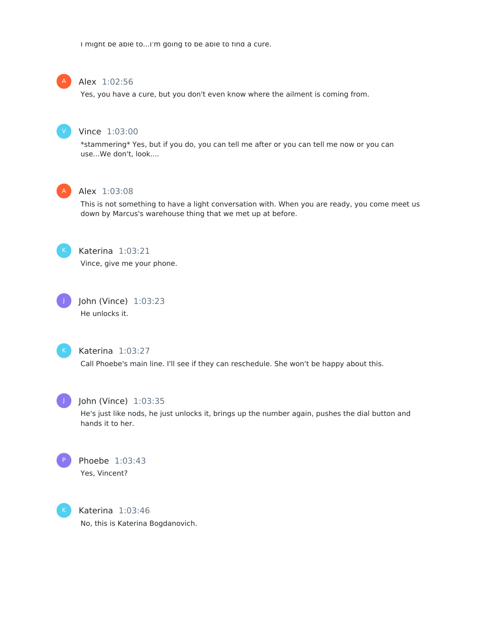I might be able to...I'm going to be able to find a cure.

### Alex 1:02:56

Yes, you have a cure, but you don't even know where the ailment is coming from.



A

#### Vince 1:03:00

\*stammering\* Yes, but if you do, you can tell me after or you can tell me now or you can use...We don't, look....



### Alex 1:03:08

This is not something to have a light conversation with. When you are ready, you come meet us down by Marcus's warehouse thing that we met up at before.



### Katerina 1:03:21

Vince, give me your phone.



### John (Vince) 1:03:23 He unlocks it.



### Katerina 1:03:27

Call Phoebe's main line. I'll see if they can reschedule. She won't be happy about this.



#### John (Vince) 1:03:35

He's just like nods, he just unlocks it, brings up the number again, pushes the dial button and hands it to her.



### Phoebe 1:03:43 Yes, Vincent?



Katerina 1:03:46 No, this is Katerina Bogdanovich.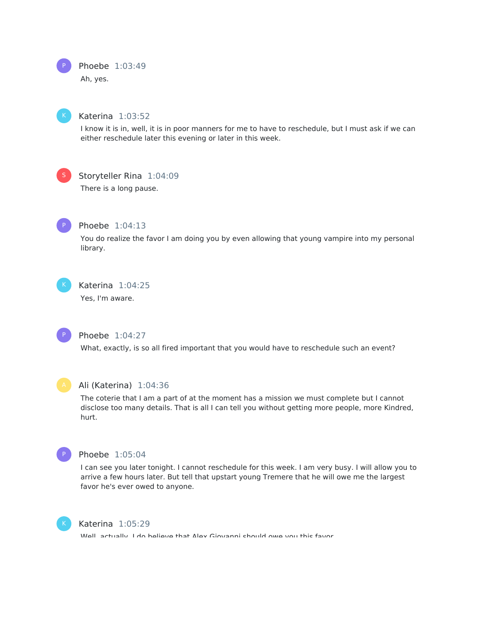



#### Katerina 1:03:52

I know it is in, well, it is in poor manners for me to have to reschedule, but I must ask if we can either reschedule later this evening or later in this week.



#### Storyteller Rina 1:04:09

There is a long pause.



### Phoebe 1:04:13

You do realize the favor I am doing you by even allowing that young vampire into my personal library.



## Katerina 1:04:25

Yes, I'm aware.



#### Phoebe 1:04:27

What, exactly, is so all fired important that you would have to reschedule such an event?



#### Ali (Katerina) 1:04:36

The coterie that I am a part of at the moment has a mission we must complete but I cannot disclose too many details. That is all I can tell you without getting more people, more Kindred, hurt.



### Phoebe 1:05:04

I can see you later tonight. I cannot reschedule for this week. I am very busy. I will allow you to arrive a few hours later. But tell that upstart young Tremere that he will owe me the largest favor he's ever owed to anyone.



#### Katerina 1:05:29

Well, actually, I do believe that Alex Giovanni should owe you this favor.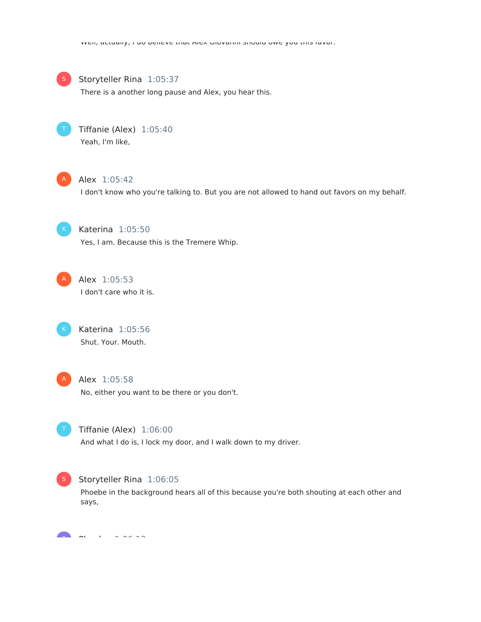

#### Storyteller Rina 1:05:37

There is a another long pause and Alex, you hear this.



Tiffanie (Alex) 1:05:40 Yeah, I'm like,



### Alex 1:05:42

I don't know who you're talking to. But you are not allowed to hand out favors on my behalf.



Katerina 1:05:50 Yes, I am. Because this is the Tremere Whip.



### Alex 1:05:53 I don't care who it is.



Katerina 1:05:56 Shut. Your. Mouth.



#### Alex 1:05:58

No, either you want to be there or you don't.



#### Tiffanie (Alex) 1:06:00

And what I do is, I lock my door, and I walk down to my driver.



#### Storyteller Rina 1:06:05

Phoebe in the background hears all of this because you're both shouting at each other and says,

Phoebe 1:06:12 **Participate**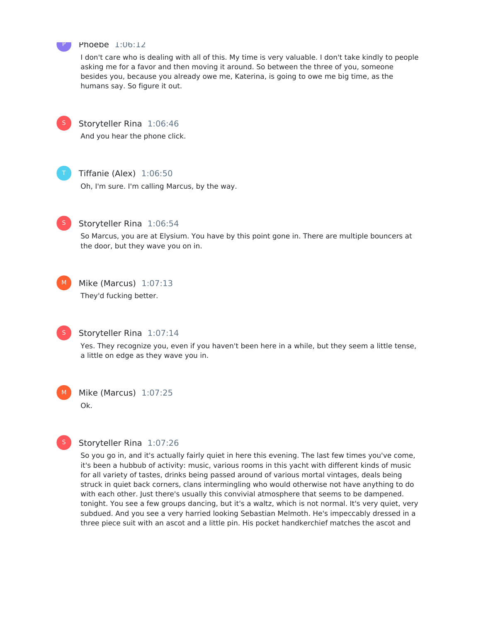

#### Phoebe 1:06:12

I don't care who is dealing with all of this. My time is very valuable. I don't take kindly to people asking me for a favor and then moving it around. So between the three of you, someone besides you, because you already owe me, Katerina, is going to owe me big time, as the humans say. So figure it out.



#### Storyteller Rina 1:06:46

And you hear the phone click.



#### Tiffanie (Alex) 1:06:50

Oh, I'm sure. I'm calling Marcus, by the way.



 $M<sub>1</sub>$ 

#### Storyteller Rina 1:06:54

So Marcus, you are at Elysium. You have by this point gone in. There are multiple bouncers at the door, but they wave you on in.



### Mike (Marcus) 1:07:13 They'd fucking better.



### Storyteller Rina 1:07:14

Yes. They recognize you, even if you haven't been here in a while, but they seem a little tense, a little on edge as they wave you in.

Mike (Marcus) 1:07:25 Ok.  $M_{\odot}$ 



#### Storyteller Rina 1:07:26

So you go in, and it's actually fairly quiet in here this evening. The last few times you've come, it's been a hubbub of activity: music, various rooms in this yacht with different kinds of music for all variety of tastes, drinks being passed around of various mortal vintages, deals being struck in quiet back corners, clans intermingling who would otherwise not have anything to do with each other. Just there's usually this convivial atmosphere that seems to be dampened. tonight. You see a few groups dancing, but it's a waltz, which is not normal. It's very quiet, very subdued. And you see a very harried looking Sebastian Melmoth. He's impeccably dressed in a three piece suit with an ascot and a little pin. His pocket handkerchief matches the ascot and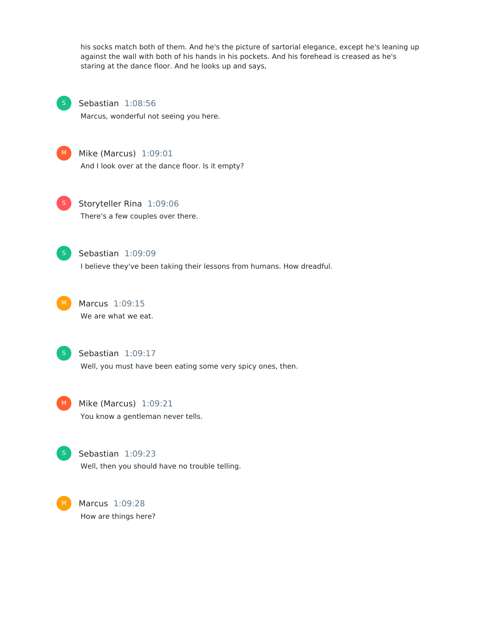his socks match both of them. And he's the picture of sartorial elegance, except he's leaning up against the wall with both of his hands in his pockets. And his forehead is creased as he's staring at the dance floor. And he looks up and says,



### Sebastian 1:08:56

Marcus, wonderful not seeing you here.



### M Mike (Marcus) 1:09:01

And I look over at the dance floor. Is it empty?



Storyteller Rina 1:09:06 There's a few couples over there.



### Sebastian 1:09:09

I believe they've been taking their lessons from humans. How dreadful.



Marcus 1:09:15 We are what we eat.



#### Sebastian 1:09:17

Well, you must have been eating some very spicy ones, then.

M Mike (Marcus) 1:09:21 You know a gentleman never tells.



#### Sebastian 1:09:23

Well, then you should have no trouble telling.

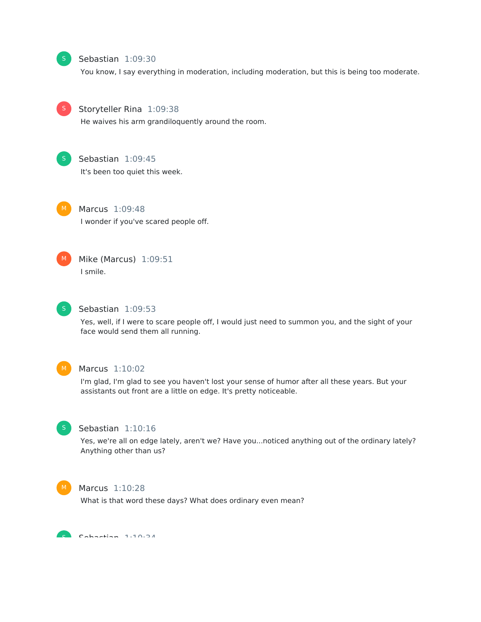

#### Sebastian 1:09:30

You know, I say everything in moderation, including moderation, but this is being too moderate.



#### Storyteller Rina 1:09:38

He waives his arm grandiloquently around the room.



#### Sebastian 1:09:45

It's been too quiet this week.



Marcus 1:09:48

I wonder if you've scared people off.



### Mike (Marcus) 1:09:51 I smile.



### Sebastian 1:09:53

Yes, well, if I were to scare people off, I would just need to summon you, and the sight of your face would send them all running.



#### Marcus 1:10:02

I'm glad, I'm glad to see you haven't lost your sense of humor after all these years. But your assistants out front are a little on edge. It's pretty noticeable.



#### Sebastian 1:10:16

Yes, we're all on edge lately, aren't we? Have you...noticed anything out of the ordinary lately? Anything other than us?



#### Marcus 1:10:28

What is that word these days? What does ordinary even mean?

Sebastian 1:10:34 S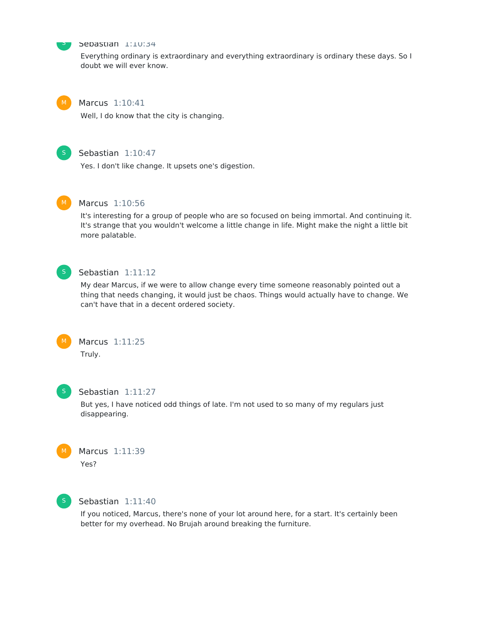

### Sebastian 1:10:34

Everything ordinary is extraordinary and everything extraordinary is ordinary these days. So I doubt we will ever know.



### Marcus 1:10:41

Well, I do know that the city is changing.



### Sebastian 1:10:47

Yes. I don't like change. It upsets one's digestion.



#### Marcus 1:10:56

It's interesting for a group of people who are so focused on being immortal. And continuing it. It's strange that you wouldn't welcome a little change in life. Might make the night a little bit more palatable.



### Sebastian 1:11:12

My dear Marcus, if we were to allow change every time someone reasonably pointed out a thing that needs changing, it would just be chaos. Things would actually have to change. We can't have that in a decent ordered society.



### Marcus 1:11:25 Truly.



#### Sebastian 1:11:27

But yes, I have noticed odd things of late. I'm not used to so many of my regulars just disappearing.





### Sebastian 1:11:40

If you noticed, Marcus, there's none of your lot around here, for a start. It's certainly been better for my overhead. No Brujah around breaking the furniture.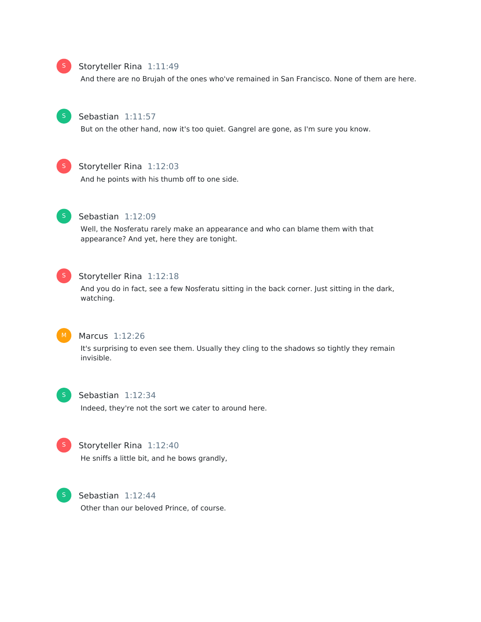# S

#### Storyteller Rina 1:11:49

And there are no Brujah of the ones who've remained in San Francisco. None of them are here.



### Sebastian 1:11:57

But on the other hand, now it's too quiet. Gangrel are gone, as I'm sure you know.



### Storyteller Rina 1:12:03

And he points with his thumb off to one side.



#### Sebastian 1:12:09

Well, the Nosferatu rarely make an appearance and who can blame them with that appearance? And yet, here they are tonight.



### Storyteller Rina 1:12:18

And you do in fact, see a few Nosferatu sitting in the back corner. Just sitting in the dark, watching.



#### Marcus 1:12:26

It's surprising to even see them. Usually they cling to the shadows so tightly they remain invisible.



#### Sebastian 1:12:34

Indeed, they're not the sort we cater to around here.



### Storyteller Rina 1:12:40

He sniffs a little bit, and he bows grandly,



Sebastian 1:12:44 Other than our beloved Prince, of course.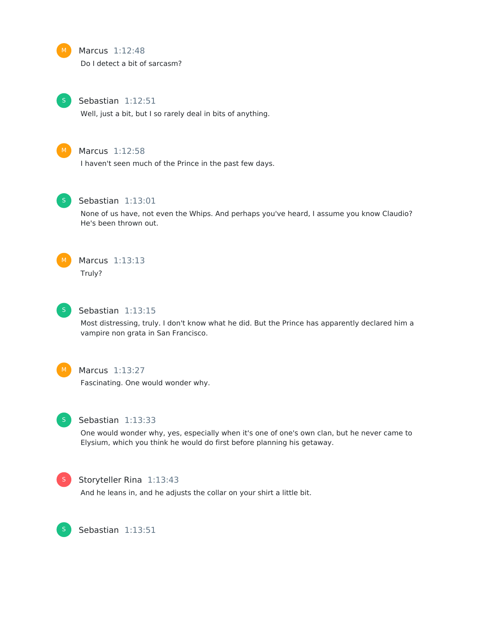#### Marcus 1:12:48

Do I detect a bit of sarcasm?



M

#### Sebastian 1:12:51

Well, just a bit, but I so rarely deal in bits of anything.



### Marcus 1:12:58

I haven't seen much of the Prince in the past few days.



#### Sebastian 1:13:01

None of us have, not even the Whips. And perhaps you've heard, I assume you know Claudio? He's been thrown out.



# Marcus 1:13:13

Truly?



### Sebastian 1:13:15

Most distressing, truly. I don't know what he did. But the Prince has apparently declared him a vampire non grata in San Francisco.



### Marcus 1:13:27

Fascinating. One would wonder why.



#### Sebastian 1:13:33

One would wonder why, yes, especially when it's one of one's own clan, but he never came to Elysium, which you think he would do first before planning his getaway.



S

#### Storyteller Rina 1:13:43

And he leans in, and he adjusts the collar on your shirt a little bit.

Sebastian 1:13:51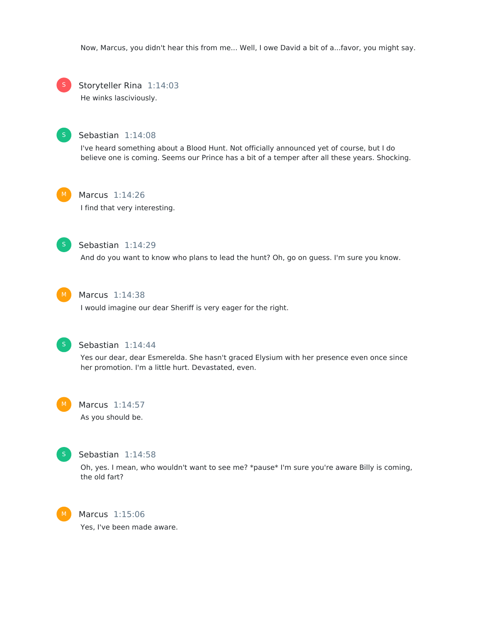Now, Marcus, you didn't hear this from me... Well, I owe David a bit of a...favor, you might say.



Storyteller Rina 1:14:03

He winks lasciviously.



#### Sebastian 1:14:08

I've heard something about a Blood Hunt. Not officially announced yet of course, but I do believe one is coming. Seems our Prince has a bit of a temper after all these years. Shocking.



### Marcus 1:14:26

I find that very interesting.



### Sebastian 1:14:29

And do you want to know who plans to lead the hunt? Oh, go on guess. I'm sure you know.



#### Marcus 1:14:38

I would imagine our dear Sheriff is very eager for the right.



#### Sebastian 1:14:44

Yes our dear, dear Esmerelda. She hasn't graced Elysium with her presence even once since her promotion. I'm a little hurt. Devastated, even.

#### Marcus 1:14:57

As you should be.



#### Sebastian 1:14:58

Oh, yes. I mean, who wouldn't want to see me? \*pause\* I'm sure you're aware Billy is coming, the old fart?



# Marcus 1:15:06

Yes, I've been made aware.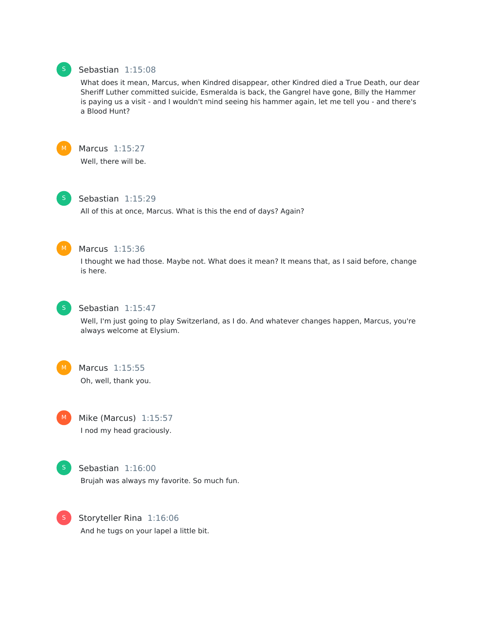### Sebastian 1:15:08

What does it mean, Marcus, when Kindred disappear, other Kindred died a True Death, our dear Sheriff Luther committed suicide, Esmeralda is back, the Gangrel have gone, Billy the Hammer is paying us a visit - and I wouldn't mind seeing his hammer again, let me tell you - and there's a Blood Hunt?



Marcus 1:15:27 Well, there will be.



### Sebastian 1:15:29

All of this at once, Marcus. What is this the end of days? Again?



#### Marcus 1:15:36

I thought we had those. Maybe not. What does it mean? It means that, as I said before, change is here.



### Sebastian 1:15:47

Well, I'm just going to play Switzerland, as I do. And whatever changes happen, Marcus, you're always welcome at Elysium.



### Marcus 1:15:55 Oh, well, thank you.



Mike (Marcus) 1:15:57 I nod my head graciously.



### Sebastian 1:16:00

Brujah was always my favorite. So much fun.



Storyteller Rina 1:16:06 And he tugs on your lapel a little bit.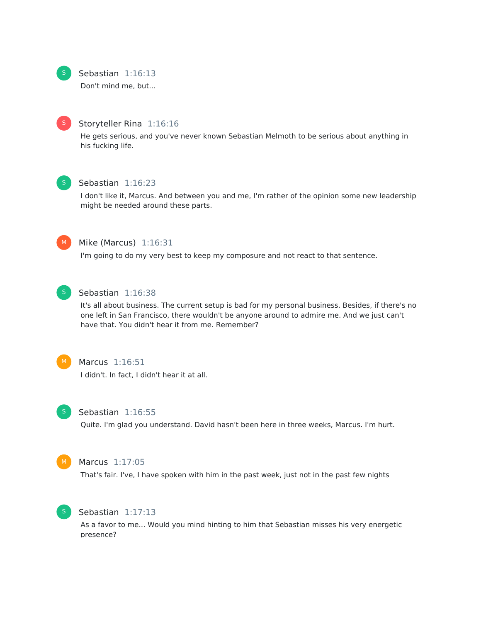

### Sebastian 1:16:13

Don't mind me, but...



### Storyteller Rina 1:16:16

He gets serious, and you've never known Sebastian Melmoth to be serious about anything in his fucking life.

### Sebastian 1:16:23

I don't like it, Marcus. And between you and me, I'm rather of the opinion some new leadership might be needed around these parts.



#### Mike (Marcus) 1:16:31

I'm going to do my very best to keep my composure and not react to that sentence.



#### Sebastian 1:16:38

It's all about business. The current setup is bad for my personal business. Besides, if there's no one left in San Francisco, there wouldn't be anyone around to admire me. And we just can't have that. You didn't hear it from me. Remember?



### Marcus 1:16:51

I didn't. In fact, I didn't hear it at all.



#### Sebastian 1:16:55

Quite. I'm glad you understand. David hasn't been here in three weeks, Marcus. I'm hurt.



#### Marcus 1:17:05

That's fair. I've, I have spoken with him in the past week, just not in the past few nights



#### Sebastian 1:17:13

As a favor to me... Would you mind hinting to him that Sebastian misses his very energetic presence?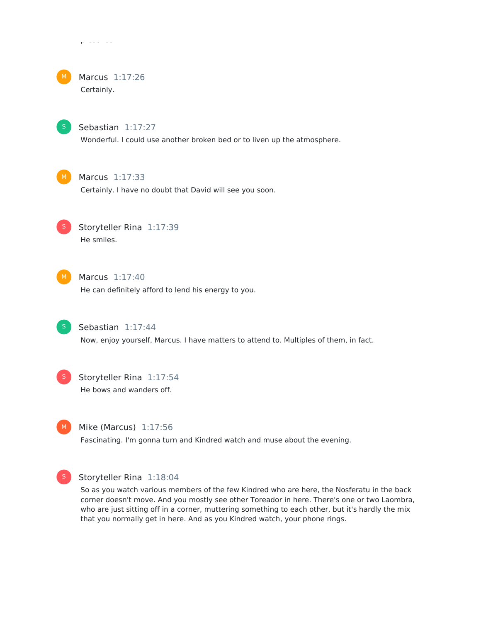# Marcus 1:17:26

Certainly.

presence?



### Sebastian 1:17:27

Wonderful. I could use another broken bed or to liven up the atmosphere.



### Marcus 1:17:33

Certainly. I have no doubt that David will see you soon.



### Storyteller Rina 1:17:39 He smiles.



### Marcus 1:17:40

He can definitely afford to lend his energy to you.



### Sebastian 1:17:44

Now, enjoy yourself, Marcus. I have matters to attend to. Multiples of them, in fact.



### Storyteller Rina 1:17:54 He bows and wanders off.



#### Mike (Marcus) 1:17:56

Fascinating. I'm gonna turn and Kindred watch and muse about the evening.



#### Storyteller Rina 1:18:04

So as you watch various members of the few Kindred who are here, the Nosferatu in the back corner doesn't move. And you mostly see other Toreador in here. There's one or two Laombra, who are just sitting off in a corner, muttering something to each other, but it's hardly the mix that you normally get in here. And as you Kindred watch, your phone rings.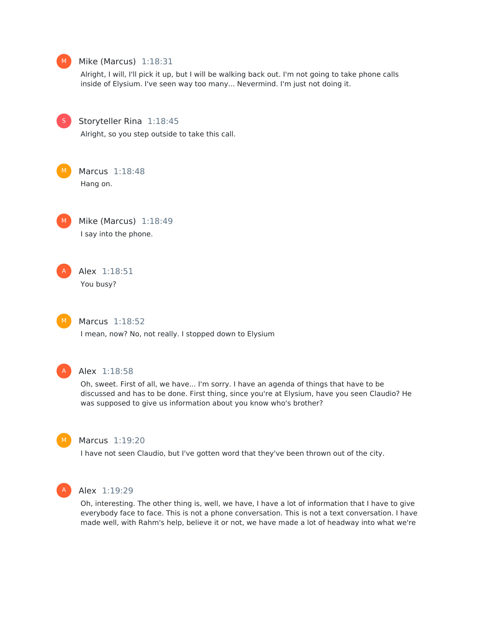

discussed and has to be done. First thing, since you're at Elysium, have you seen Claudio? He was supposed to give us information about you know who's brother?



### Marcus 1:19:20

I have not seen Claudio, but I've gotten word that they've been thrown out of the city.



### Alex 1:19:29

Oh, interesting. The other thing is, well, we have, I have a lot of information that I have to give everybody face to face. This is not a phone conversation. This is not a text conversation. I have made well, with Rahm's help, believe it or not, we have made a lot of headway into what we're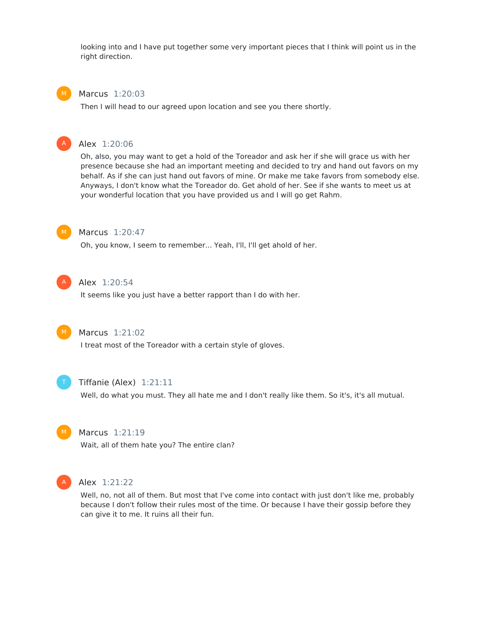looking into and I have put together some very important pieces that I think will point us in the right direction.

#### Marcus 1:20:03

Then I will head to our agreed upon location and see you there shortly.

#### Alex 1:20:06

Oh, also, you may want to get a hold of the Toreador and ask her if she will grace us with her presence because she had an important meeting and decided to try and hand out favors on my behalf. As if she can just hand out favors of mine. Or make me take favors from somebody else. Anyways, I don't know what the Toreador do. Get ahold of her. See if she wants to meet us at your wonderful location that you have provided us and I will go get Rahm.



A

#### Marcus 1:20:47

Oh, you know, I seem to remember... Yeah, I'll, I'll get ahold of her.



#### Alex 1:20:54

It seems like you just have a better rapport than I do with her.



#### Marcus 1:21:02

I treat most of the Toreador with a certain style of gloves.



#### Tiffanie (Alex) 1:21:11

Well, do what you must. They all hate me and I don't really like them. So it's, it's all mutual.



#### Marcus 1:21:19

Wait, all of them hate you? The entire clan?



#### Alex 1:21:22

Well, no, not all of them. But most that I've come into contact with just don't like me, probably because I don't follow their rules most of the time. Or because I have their gossip before they can give it to me. It ruins all their fun.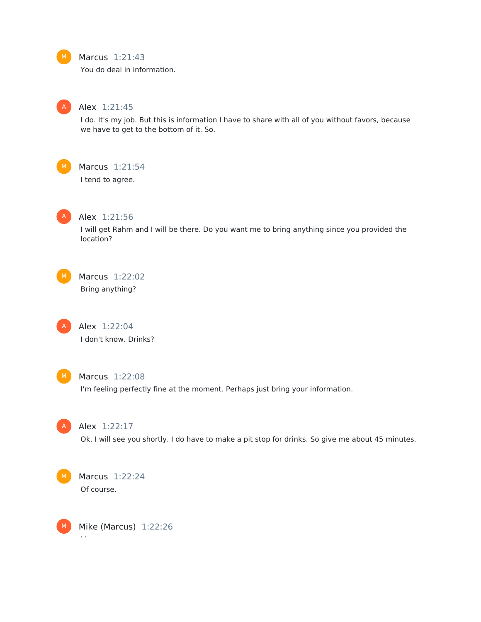### Marcus 1:21:43

You do deal in information.



### Alex 1:21:45

I do. It's my job. But this is information I have to share with all of you without favors, because we have to get to the bottom of it. So.



### Marcus 1:21:54

I tend to agree.



#### Alex 1:21:56

I will get Rahm and I will be there. Do you want me to bring anything since you provided the location?

Marcus 1:22:02 Bring anything?

> Alex 1:22:04 I don't know. Drinks?



A

### Marcus 1:22:08

I'm feeling perfectly fine at the moment. Perhaps just bring your information.



#### Alex 1:22:17

Ok. I will see you shortly. I do have to make a pit stop for drinks. So give me about 45 minutes.